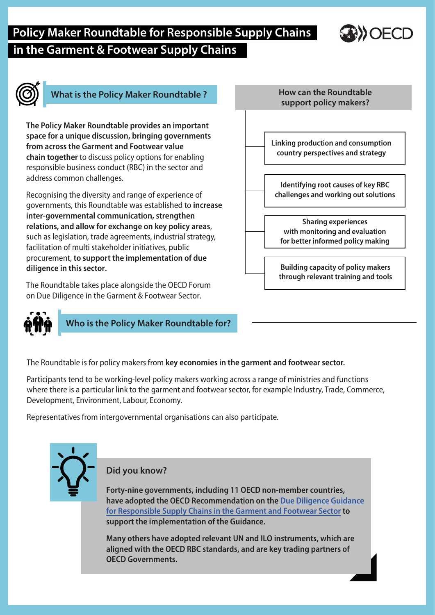# **Policy Maker Roundtable for Responsible Supply Chains in the Garment & Footwear Supply Chains**



## **What is the Policy Maker Roundtable ?**

**The Policy Maker Roundtable provides an important space for a unique discussion, bringing governments from across the Garment and Footwear value chain together** to discuss policy options for enabling responsible business conduct (RBC) in the sector and address common challenges.

Recognising the diversity and range of experience of governments, this Roundtable was established to **increase inter-governmental communication, strengthen relations, and allow for exchange on key policy areas**, such as legislation, trade agreements, industrial strategy, facilitation of multi stakeholder initiatives, public procurement, **to support the implementation of due diligence in this sector.**

The Roundtable takes place alongside the OECD Forum on Due Diligence in the Garment & Footwear Sector.



**Who is the Policy Maker Roundtable for?**

**How can the Roundtable support policy makers? Linking production and consumption country perspectives and strategy Building capacity of policy makers through relevant training and tools Sharing experiences with monitoring and evaluation for better informed policy making Identifying root causes of key RBC challenges and working out solutions**

The Roundtable is for policy makers from **key economies in the garment and footwear sector.**

Participants tend to be working-level policy makers working across a range of ministries and functions where there is a particular link to the garment and footwear sector, for example Industry, Trade, Commerce, Development, Environment, Labour, Economy.

Representatives from intergovernmental organisations can also participate.



**Did you know?**

**Forty-nine governments, including 11 OECD non-member countries, have adopted the OECD Recommendation on the Due Diligence Guidance [for Responsible Supply Chains in the Garment and Footwear Sector](https://www.oecd-ilibrary.org/governance/oecd-due-diligence-guidance-for-responsible-supply-chains-in-the-garment-and-footwear-sector_9789264290587-en) to support the implementation of the Guidance.** 

**Many others have adopted relevant UN and ILO instruments, which are aligned with the OECD RBC standards, and are key trading partners of OECD Governments.**